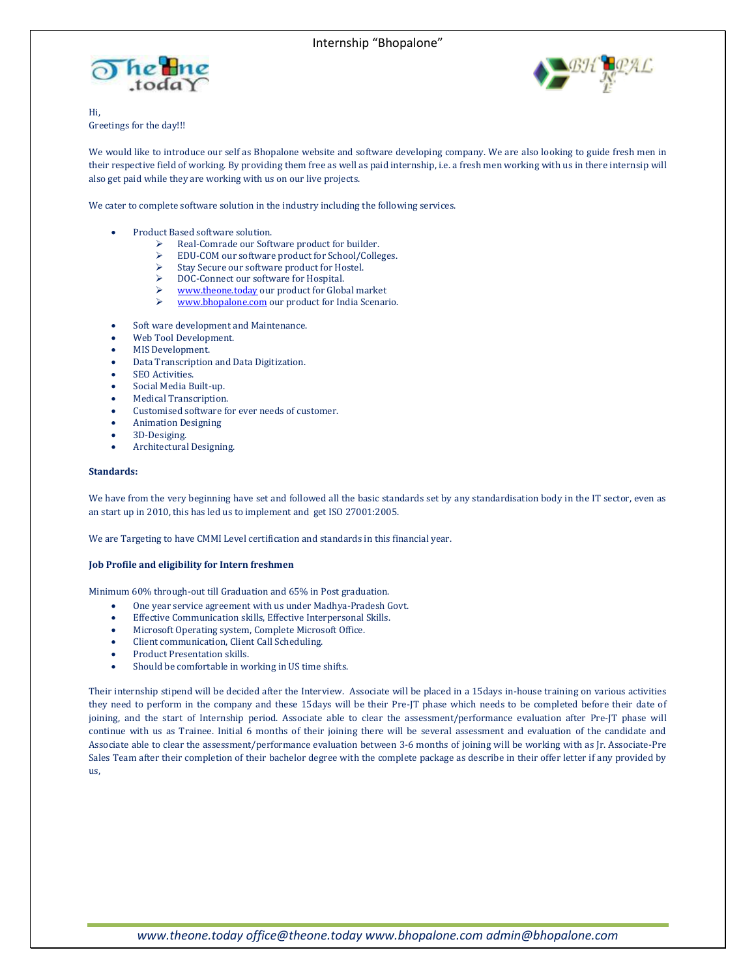## Internship "Bhopalone"





Hi, Greetings for the day!!!

We would like to introduce our self as Bhopalone website and software developing company. We are also looking to guide fresh men in their respective field of working. By providing them free as well as paid internship, i.e. a fresh men working with us in there internsip will also get paid while they are working with us on our live projects.

We cater to complete software solution in the industry including the following services.

- Product Based software solution.
	- Real-Comrade our Software product for builder.
	- EDU-COM our software product for School/Colleges.
	- $\triangleright$  Stay Secure our software product for Hostel.
	- > DOC-Connect our software for Hospital.
	- [www.theone.today](http://www.theone.today/) our product for Global market
	- **EXECUTE:** WWW.bhopalone.com our product for India Scenario.
- Soft ware development and Maintenance.
- Web Tool Development.
- MIS Development.
- Data Transcription and Data Digitization.
- SEO Activities.
- Social Media Built-up.
- Medical Transcription.
- Customised software for ever needs of customer.
- Animation Designing
- 3D-Desiging.
- Architectural Designing.

## **Standards:**

We have from the very beginning have set and followed all the basic standards set by any standardisation body in the IT sector, even as an start up in 2010, this has led us to implement and get ISO 27001:2005.

We are Targeting to have CMMI Level certification and standards in this financial year.

## **Job Profile and eligibility for Intern freshmen**

Minimum 60% through-out till Graduation and 65% in Post graduation.

- One year service agreement with us under Madhya-Pradesh Govt.
- Effective Communication skills, Effective Interpersonal Skills.
- Microsoft Operating system, Complete Microsoft Office.
- Client communication, Client Call Scheduling.
- Product Presentation skills.
- Should be comfortable in working in US time shifts.

Their internship stipend will be decided after the Interview. Associate will be placed in a 15days in-house training on various activities they need to perform in the company and these 15days will be their Pre-JT phase which needs to be completed before their date of joining, and the start of Internship period. Associate able to clear the assessment/performance evaluation after Pre-JT phase will continue with us as Trainee. Initial 6 months of their joining there will be several assessment and evaluation of the candidate and Associate able to clear the assessment/performance evaluation between 3-6 months of joining will be working with as Jr. Associate-Pre Sales Team after their completion of their bachelor degree with the complete package as describe in their offer letter if any provided by us,